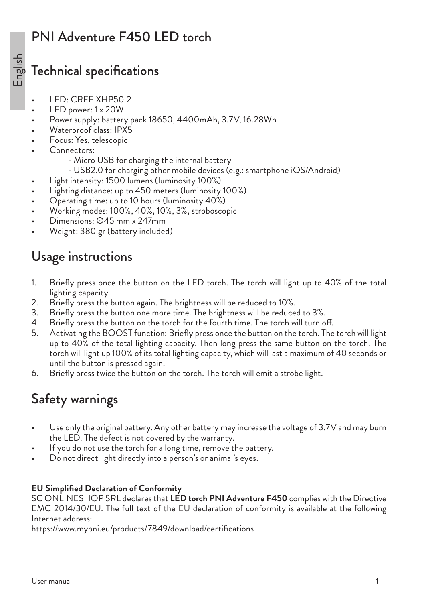## PNI Adventure F450 LED torch

### Technical specifications

- LED: CREE XHP50.2
- LED power: 1 x 20W
- Power supply: battery pack 18650, 4400mAh, 3.7V, 16.28Wh
- Waterproof class: IPX5
- Focus: Yes, telescopic
- Connectors:
	- Micro USB for charging the internal battery
	- USB2.0 for charging other mobile devices (e.g.: smartphone iOS/Android)
- Light intensity: 1500 lumens (luminosity 100%)
- Lighting distance: up to 450 meters (luminosity 100%)
- Operating time: up to 10 hours (luminosity 40%)
- Working modes: 100%, 40%, 10%, 3%, stroboscopic
- Dimensions: Ø45 mm x 247mm
- Weight: 380 gr (battery included)

## Usage instructions

- 1. Briefly press once the button on the LED torch. The torch will light up to 40% of the total lighting capacity.
- 2. Briefly press the button again. The brightness will be reduced to 10%.
- 3. Briefly press the button one more time. The brightness will be reduced to 3%.
- 4. Briefly press the button on the torch for the fourth time. The torch will turn off.
- 5. Activating the BOOST function: Briefly press once the button on the torch. The torch will light up to 40% of the total lighting capacity. Then long press the same button on the torch. The torch will light up 100% of its total lighting capacity, which will last a maximum of 40 seconds or until the button is pressed again.
- 6. Briefly press twice the button on the torch. The torch will emit a strobe light.

# Safety warnings

- Use only the original battery. Any other battery may increase the voltage of 3.7V and may burn the LED. The defect is not covered by the warranty.
- If you do not use the torch for a long time, remove the battery.
- Do not direct light directly into a person's or animal's eyes.

#### **EU Simplified Declaration of Conformity**

SC ONLINESHOP SRL declares that **LED torch PNI Adventure F450** complies with the Directive EMC 2014/30/EU. The full text of the EU declaration of conformity is available at the following Internet address: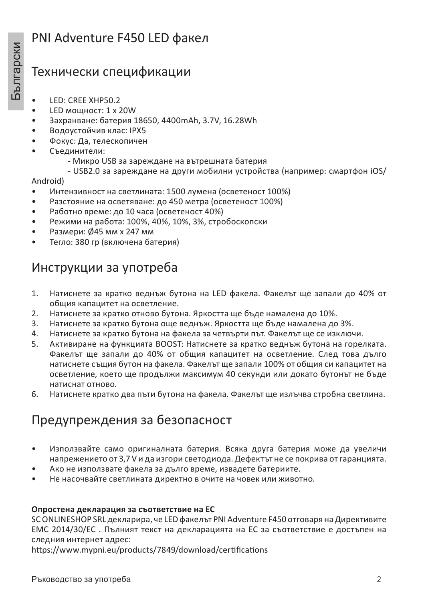### PNI Adventure F450 LED факел

# Технически спецификации

- LED: CREE XHP50.2
- LED мощност: 1 x 20W
- Захранване: батерия 18650, 4400mAh, 3.7V, 16.28Wh
- Водоустойчив клас: IPX5
- Фокус: Да, телескопичен
- Съединители:
	- Микро USB за зареждане на вътрешната батерия
	- USB2.0 за зареждане на други мобилни устройства (например: смартфон iOS/

Android)

- Интензивност на светлината: 1500 лумена (осветеност 100%)
- Разстояние на осветяване: до 450 метра (осветеност 100%)
- Работно време: до 10 часа (осветеност 40%)
- Режими на работа: 100%, 40%, 10%, 3%, стробоскопски
- Размери: Ø45 мм х 247 мм
- Тегло: 380 гр (включена батерия)

### Инструкции за употреба

- 1. Натиснете за кратко веднъж бутона на LED факела. Факелът ще запали до 40% от общия капацитет на осветление.
- 2. Натиснете за кратко отново бутона. Яркостта ще бъде намалена до 10%.
- 3. Натиснете за кратко бутона още веднъж. Яркостта ще бъде намалена до 3%.
- 4. Натиснете за кратко бутона на факела за четвърти път. Факелът ще се изключи.
- 5. Активиране на функцията BOOST: Натиснете за кратко веднъж бутона на горелката. Факелът ще запали до 40% от общия капацитет на осветление. След това дълго натиснете същия бутон на факела. Факелът ще запали 100% от общия си капацитет на осветление, което ще продължи максимум 40 секунди или докато бутонът не бъде натиснат отново.
- 6. Натиснете кратко два пъти бутона на факела. Факелът ще излъчва стробна светлина.

### Предупреждения за безопасност

- Използвайте само оригиналната батерия. Всяка друга батерия може да увеличи напрежението от 3,7 V и да изгори светодиода. Дефектът не се покрива от гаранцията.
- Ако не използвате факела за дълго време, извадете батериите.
- Не насочвайте светлината директно в очите на човек или животно.

#### **Опростена декларация за съответствие на ЕС**

SC ONLINESHOP SRL декларира, че LED факелът PNI Adventure F450 отговаря на Директивите EMC 2014/30/ЕС . Пълният текст на декларацията на ЕС за съответствие е достъпен на следния интернет адрес: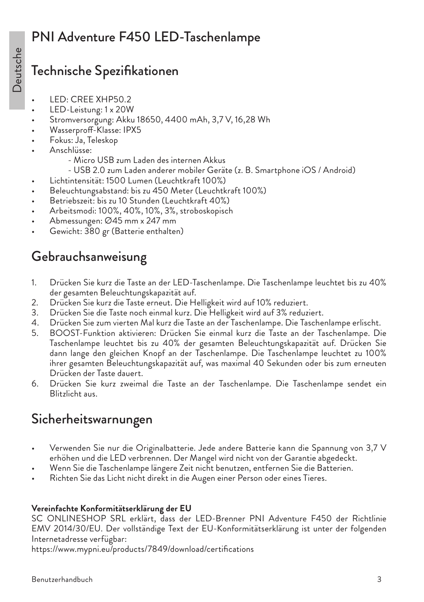## Technische Spezifikationen

- LED: CREE XHP50.2
- LED-Leistung: 1 x 20W
- Stromversorgung: Akku 18650, 4400 mAh, 3,7 V, 16,28 Wh
- Wasserproff-Klasse: IPX5
- Fokus: Ja, Teleskop
- Anschlüsse:
	- Micro USB zum Laden des internen Akkus
	- USB 2.0 zum Laden anderer mobiler Geräte (z. B. Smartphone iOS / Android)
- Lichtintensität: 1500 Lumen (Leuchtkraft 100%)
- Beleuchtungsabstand: bis zu 450 Meter (Leuchtkraft 100%)
- Betriebszeit: bis zu 10 Stunden (Leuchtkraft 40%)
- Arbeitsmodi: 100%, 40%, 10%, 3%, stroboskopisch
- Abmessungen: Ø45 mm x 247 mm
- Gewicht: 380 gr (Batterie enthalten)

# Gebrauchsanweisung

- 1. Drücken Sie kurz die Taste an der LED-Taschenlampe. Die Taschenlampe leuchtet bis zu 40% der gesamten Beleuchtungskapazität auf.
- 2. Drücken Sie kurz die Taste erneut. Die Helligkeit wird auf 10% reduziert.
- 3. Drücken Sie die Taste noch einmal kurz. Die Helligkeit wird auf 3% reduziert.
- 4. Drücken Sie zum vierten Mal kurz die Taste an der Taschenlampe. Die Taschenlampe erlischt.
- 5. BOOST-Funktion aktivieren: Drücken Sie einmal kurz die Taste an der Taschenlampe. Die Taschenlampe leuchtet bis zu 40% der gesamten Beleuchtungskapazität auf. Drücken Sie dann lange den gleichen Knopf an der Taschenlampe. Die Taschenlampe leuchtet zu 100% ihrer gesamten Beleuchtungskapazität auf, was maximal 40 Sekunden oder bis zum erneuten Drücken der Taste dauert.
- 6. Drücken Sie kurz zweimal die Taste an der Taschenlampe. Die Taschenlampe sendet ein Blitzlicht aus.

# Sicherheitswarnungen

- Verwenden Sie nur die Originalbatterie. Jede andere Batterie kann die Spannung von 3,7 V erhöhen und die LED verbrennen. Der Mangel wird nicht von der Garantie abgedeckt.
- Wenn Sie die Taschenlampe längere Zeit nicht benutzen, entfernen Sie die Batterien.
- Richten Sie das Licht nicht direkt in die Augen einer Person oder eines Tieres.

#### **Vereinfachte Konformitätserklärung der EU**

SC ONLINESHOP SRL erklärt, dass der LED-Brenner PNI Adventure F450 der Richtlinie EMV 2014/30/EU. Der vollständige Text der EU-Konformitätserklärung ist unter der folgenden Internetadresse verfügbar: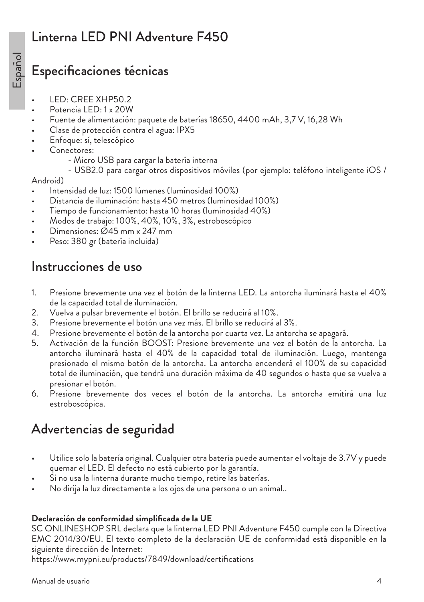## Linterna LED PNI Adventure F450

### Especificaciones técnicas

- LED: CREE XHP50.2
- Potencia LED: 1 x 20W
- Fuente de alimentación: paquete de baterías 18650, 4400 mAh, 3,7 V, 16,28 Wh
- Clase de protección contra el agua: IPX5
- Enfoque: sí, telescópico
- Conectores:
	- Micro USB para cargar la batería interna
	- USB2.0 para cargar otros dispositivos móviles (por ejemplo: teléfono inteligente iOS /

#### Android)

- Intensidad de luz: 1500 lúmenes (luminosidad 100%)
- Distancia de iluminación: hasta 450 metros (luminosidad 100%)
- Tiempo de funcionamiento: hasta 10 horas (luminosidad 40%)
- Modos de trabajo: 100%, 40%, 10%, 3%, estroboscópico
- Dimensiones: Ø45 mm x 247 mm
- Peso: 380 gr (batería incluida)

### Instrucciones de uso

- 1. Presione brevemente una vez el botón de la linterna LED. La antorcha iluminará hasta el 40% de la capacidad total de iluminación.
- 2. Vuelva a pulsar brevemente el botón. El brillo se reducirá al 10%.
- 3. Presione brevemente el botón una vez más. El brillo se reducirá al 3%.
- 4. Presione brevemente el botón de la antorcha por cuarta vez. La antorcha se apagará.
- 5. Activación de la función BOOST: Presione brevemente una vez el botón de la antorcha. La antorcha iluminará hasta el 40% de la capacidad total de iluminación. Luego, mantenga presionado el mismo botón de la antorcha. La antorcha encenderá el 100% de su capacidad total de iluminación, que tendrá una duración máxima de 40 segundos o hasta que se vuelva a presionar el botón.
- 6. Presione brevemente dos veces el botón de la antorcha. La antorcha emitirá una luz estroboscópica.

## Advertencias de seguridad

- Utilice solo la batería original. Cualquier otra batería puede aumentar el voltaje de 3.7V y puede quemar el LED. El defecto no está cubierto por la garantía.
- Si no usa la linterna durante mucho tiempo, retire las baterías.
- No dirija la luz directamente a los ojos de una persona o un animal..

#### **Declaración de conformidad simplificada de la UE**

SC ONLINESHOP SRL declara que la linterna LED PNI Adventure F450 cumple con la Directiva EMC 2014/30/EU. El texto completo de la declaración UE de conformidad está disponible en la siguiente dirección de Internet: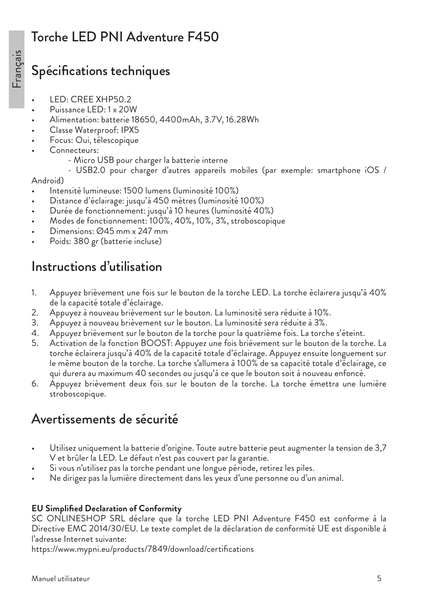# Torche LED PNI Adventure F450

## Spécifications techniques

- LED: CREE XHP50.2
- Puissance LED: 1 x 20W
- Alimentation: batterie 18650, 4400mAh, 3.7V, 16.28Wh
- Classe Waterproof: IPX5
- Focus: Oui, télescopique
- Connecteurs:
	- Micro USB pour charger la batterie interne
	- USB2.0 pour charger d'autres appareils mobiles (par exemple: smartphone iOS /

#### Android)

- Intensité lumineuse: 1500 lumens (luminosité 100%)
- Distance d'éclairage: jusqu'à 450 mètres (luminosité 100%)
- Durée de fonctionnement: jusqu'à 10 heures (luminosité 40%)
- Modes de fonctionnement: 100%, 40%, 10%, 3%, stroboscopique
- Dimensions: Ø45 mm x 247 mm
- Poids: 380 gr (batterie incluse)

### Instructions d'utilisation

- 1. Appuyez brièvement une fois sur le bouton de la torche LED. La torche éclairera jusqu'à 40% de la capacité totale d'éclairage.
- 2. Appuyez à nouveau brièvement sur le bouton. La luminosité sera réduite à 10%.
- 3. Appuyez à nouveau brièvement sur le bouton. La luminosité sera réduite à 3%.
- 4. Appuyez brièvement sur le bouton de la torche pour la quatrième fois. La torche s'éteint.
- 5. Activation de la fonction BOOST: Appuyez une fois brièvement sur le bouton de la torche. La torche éclairera jusqu'à 40% de la capacité totale d'éclairage. Appuyez ensuite longuement sur le même bouton de la torche. La torche s'allumera à 100% de sa capacité totale d'éclairage, ce qui durera au maximum 40 secondes ou jusqu'à ce que le bouton soit à nouveau enfoncé.
- 6. Appuyez brièvement deux fois sur le bouton de la torche. La torche émettra une lumière stroboscopique.

### Avertissements de sécurité

- Utilisez uniquement la batterie d'origine. Toute autre batterie peut augmenter la tension de 3,7 V et brûler la LED. Le défaut n'est pas couvert par la garantie.
- Si vous n'utilisez pas la torche pendant une longue période, retirez les piles.
- Ne dirigez pas la lumière directement dans les yeux d'une personne ou d'un animal.

#### **EU Simplified Declaration of Conformity**

SC ONLINESHOP SRL déclare que la torche LED PNI Adventure F450 est conforme à la Directive EMC 2014/30/EU. Le texte complet de la déclaration de conformité UE est disponible à l'adresse Internet suivante: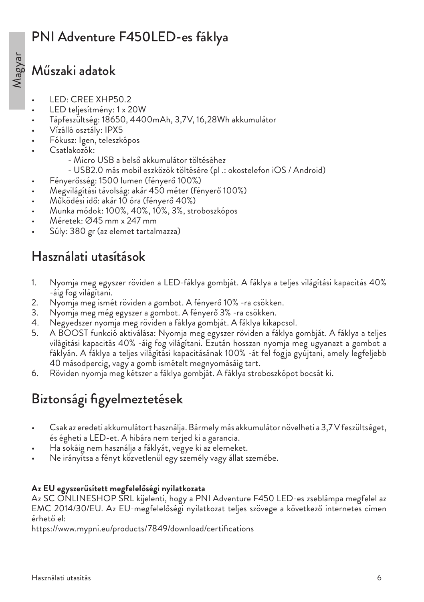# PNI Adventure F450LED-es fáklya

### Műszaki adatok

- LED: CREE XHP50.2
- LED teljesítmény: 1 x 20W
- Tápfeszültség: 18650, 4400mAh, 3,7V, 16,28Wh akkumulátor
- Vízálló osztály: IPX5
- Fókusz: Igen, teleszkópos
- Csatlakozók:
	- Micro USB a belső akkumulátor töltéséhez
	- USB2.0 más mobil eszközök töltésére (pl .: okostelefon iOS / Android)
- Fényerősség: 1500 lumen (fényerő 100%)
- Megvilágítási távolság: akár 450 méter (fényerő 100%)
- Működési idő: akár 10 óra (fényerő 40%)
- Munka módok: 100%, 40%, 10%, 3%, stroboszkópos
- Méretek: Ø45 mm x 247 mm
- Súly: 380 gr (az elemet tartalmazza)

## Használati utasítások

- 1. Nyomja meg egyszer röviden a LED-fáklya gombját. A fáklya a teljes világítási kapacitás 40% -áig fog világítani.
- 2. Nyomja meg ismét röviden a gombot. A fényerő 10% -ra csökken.
- 3. Nyomja meg még egyszer a gombot. A fényerő 3% -ra csökken.
- 4. Negyedszer nyomja meg röviden a fáklya gombját. A fáklya kikapcsol.
- 5. A BOOST funkció aktiválása: Nyomja meg egyszer röviden a fáklya gombját. A fáklya a teljes világítási kapacitás 40% -áig fog világítani. Ezután hosszan nyomja meg ugyanazt a gombot a fáklyán. A fáklya a teljes világítási kapacitásának 100% -át fel fogja gyújtani, amely legfeljebb 40 másodpercig, vagy a gomb ismételt megnyomásáig tart.
- 6. Röviden nyomja meg kétszer a fáklya gombját. A fáklya stroboszkópot bocsát ki.

# Biztonsági figyelmeztetések

- Csak az eredeti akkumulátort használja. Bármely más akkumulátor növelheti a 3,7 V feszültséget, és égheti a LED-et. A hibára nem terjed ki a garancia.
- Ha sokáig nem használja a fáklyát, vegye ki az elemeket.
- Ne irányítsa a fényt közvetlenül egy személy vagy állat szemébe.

#### **Az EU egyszerűsített megfelelőségi nyilatkozata**

Az SC ONLINESHOP SRL kijelenti, hogy a PNI Adventure F450 LED-es zseblámpa megfelel az EMC 2014/30/EU. Az EU-megfelelőségi nyilatkozat teljes szövege a következő internetes címen érhető el: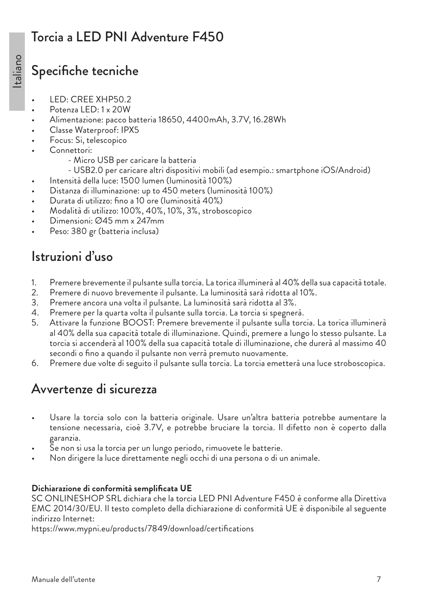## Torcia a LED PNI Adventure F450

## Specifiche tecniche

- LED: CREE XHP50.2
- Potenza LED: 1 x 20W
- Alimentazione: pacco batteria 18650, 4400mAh, 3.7V, 16.28Wh
- Classe Waterproof: IPX5
- Focus: Si, telescopico
- Connettori:
	- Micro USB per caricare la batteria
	- USB2.0 per caricare altri dispositivi mobili (ad esempio.: smartphone iOS/Android)
- Intensità della luce: 1500 lumen (luminosità 100%)
- Distanza di illuminazione: up to 450 meters (luminosità 100%)
- Durata di utilizzo: fino a 10 ore (luminosità 40%)
- Modalità di utilizzo: 100%, 40%, 10%, 3%, stroboscopico
- Dimensioni: Ø45 mm x 247mm
- Peso: 380 gr (batteria inclusa)

# Istruzioni d'uso

- 1. Premere brevemente il pulsante sulla torcia. La torica illuminerà al 40% della sua capacità totale.
- 2. Premere di nuovo brevemente il pulsante. La luminosità sarà ridotta al 10%.
- 3. Premere ancora una volta il pulsante. La luminosità sarà ridotta al 3%.
- 4. Premere per la quarta volta il pulsante sulla torcia. La torcia si spegnerà.
- 5. Attivare la funzione BOOST: Premere brevemente il pulsante sulla torcia. La torica illuminerà al 40% della sua capacità totale di illuminazione. Quindi, premere a lungo lo stesso pulsante. La torcia si accenderà al 100% della sua capacità totale di illuminazione, che durerà al massimo 40 secondi o fino a quando il pulsante non verrà premuto nuovamente.
- 6. Premere due volte di seguito il pulsante sulla torcia. La torcia emetterà una luce stroboscopica.

# Avvertenze di sicurezza

- Usare la torcia solo con la batteria originale. Usare un'altra batteria potrebbe aumentare la tensione necessaria, cioè 3.7V, e potrebbe bruciare la torcia. Il difetto non è coperto dalla garanzia.
- Se non si usa la torcia per un lungo periodo, rimuovete le batterie.
- Non dirigere la luce direttamente negli occhi di una persona o di un animale.

#### **Dichiarazione di conformità semplificata UE**

SC ONLINESHOP SRL dichiara che la torcia LED PNI Adventure F450 è conforme alla Direttiva EMC 2014/30/EU. Il testo completo della dichiarazione di conformità UE è disponibile al seguente indirizzo Internet: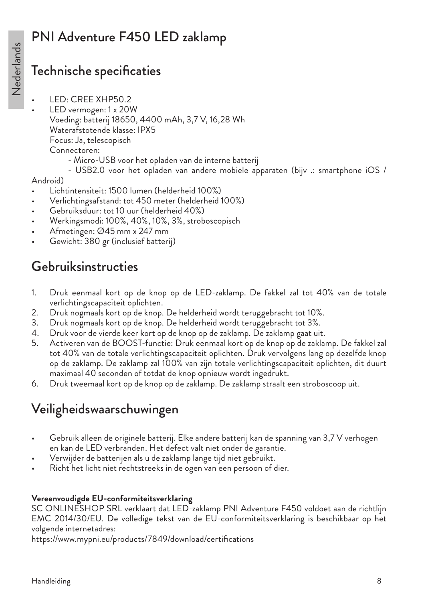# PNI Adventure F450 LED zaklamp

## Technische specificaties

- LED: CREE XHP50.2
- LED vermogen: 1 x 20W Voeding: batterij 18650, 4400 mAh, 3,7 V, 16,28 Wh Waterafstotende klasse: IPX5 Focus: Ja, telescopisch Connectoren: - Micro-USB voor het opladen van de interne batterij
	- USB2.0 voor het opladen van andere mobiele apparaten (bijv .: smartphone iOS /

#### Android)

- Lichtintensiteit: 1500 lumen (helderheid 100%)
- Verlichtingsafstand: tot 450 meter (helderheid 100%)
- Gebruiksduur: tot 10 uur (helderheid 40%)
- Werkingsmodi: 100%, 40%, 10%, 3%, stroboscopisch
- Afmetingen: Ø45 mm x 247 mm
- Gewicht: 380 gr (inclusief batterij)

## Gebruiksinstructies

- 1. Druk eenmaal kort op de knop op de LED-zaklamp. De fakkel zal tot 40% van de totale verlichtingscapaciteit oplichten.
- 2. Druk nogmaals kort op de knop. De helderheid wordt teruggebracht tot 10%.
- 3. Druk nogmaals kort op de knop. De helderheid wordt teruggebracht tot 3%.
- 4. Druk voor de vierde keer kort op de knop op de zaklamp. De zaklamp gaat uit.
- 5. Activeren van de BOOST-functie: Druk eenmaal kort op de knop op de zaklamp. De fakkel zal tot 40% van de totale verlichtingscapaciteit oplichten. Druk vervolgens lang op dezelfde knop op de zaklamp. De zaklamp zal 100% van zijn totale verlichtingscapaciteit oplichten, dit duurt maximaal 40 seconden of totdat de knop opnieuw wordt ingedrukt.
- 6. Druk tweemaal kort op de knop op de zaklamp. De zaklamp straalt een stroboscoop uit.

# Veiligheidswaarschuwingen

- Gebruik alleen de originele batterij. Elke andere batterij kan de spanning van 3,7 V verhogen en kan de LED verbranden. Het defect valt niet onder de garantie.
- Verwijder de batterijen als u de zaklamp lange tijd niet gebruikt.
- Richt het licht niet rechtstreeks in de ogen van een persoon of dier.

#### **Vereenvoudigde EU-conformiteitsverklaring**

SC ONLINESHOP SRL verklaart dat LED-zaklamp PNI Adventure F450 voldoet aan de richtlijn EMC 2014/30/EU. De volledige tekst van de EU-conformiteitsverklaring is beschikbaar op het volgende internetadres: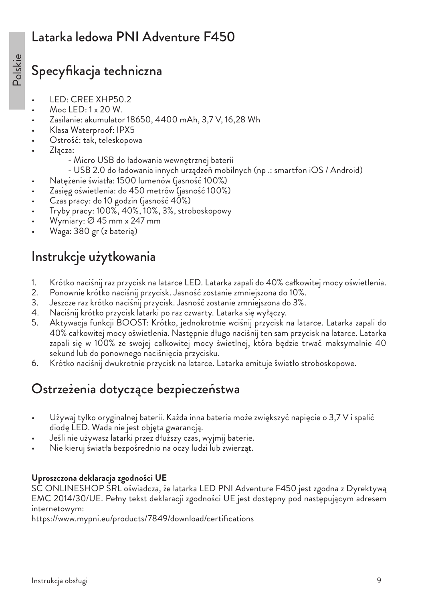## Latarka ledowa PNI Adventure F450

## Specyfikacja techniczna

- LED: CREE XHP50.2
- Moc LED: 1 x 20 W.
- Zasilanie: akumulator 18650, 4400 mAh, 3,7 V, 16,28 Wh
- Klasa Waterproof: IPX5
- Ostrość: tak, teleskopowa
- Złącza:
	- Micro USB do ładowania wewnętrznej baterii
	- USB 2.0 do ładowania innych urządzeń mobilnych (np .: smartfon iOS / Android)
- Natężenie światła: 1500 lumenów (jasność 100%)
- Zasięg oświetlenia: do 450 metrów (jasność 100%)
- Czas pracy: do 10 godzin (jasność 40%)
- Tryby pracy: 100%, 40%, 10%, 3%, stroboskopowy
- Wymiary: Ø 45 mm x 247 mm
- Waga: 380 gr (z baterią)

## Instrukcje użytkowania

- 1. Krótko naciśnij raz przycisk na latarce LED. Latarka zapali do 40% całkowitej mocy oświetlenia.
- 2. Ponownie krótko naciśnij przycisk. Jasność zostanie zmniejszona do 10%.
- 3. Jeszcze raz krótko naciśnij przycisk. Jasność zostanie zmniejszona do 3%.
- 4. Naciśnij krótko przycisk latarki po raz czwarty. Latarka się wyłączy.
- 5. Aktywacja funkcji BOOST: Krótko, jednokrotnie wciśnij przycisk na latarce. Latarka zapali do 40% całkowitej mocy oświetlenia. Następnie długo naciśnij ten sam przycisk na latarce. Latarka zapali się w 100% ze swojej całkowitej mocy świetlnej, która będzie trwać maksymalnie 40 sekund lub do ponownego naciśnięcia przycisku.
- 6. Krótko naciśnij dwukrotnie przycisk na latarce. Latarka emituje światło stroboskopowe.

# Ostrzeżenia dotyczące bezpieczeństwa

- Używaj tylko oryginalnej baterii. Każda inna bateria może zwiększyć napięcie o 3,7 V i spalić diodę LED. Wada nie jest objęta gwarancją.
- Jeśli nie używasz latarki przez dłuższy czas, wyjmij baterie.
- Nie kieruj światła bezpośrednio na oczy ludzi lub zwierząt.

#### **Uproszczona deklaracja zgodności UE**

SC ONLINESHOP SRL oświadcza, że latarka LED PNI Adventure F450 jest zgodna z Dyrektywą EMC 2014/30/UE. Pełny tekst deklaracji zgodności UE jest dostępny pod następującym adresem internetowym: